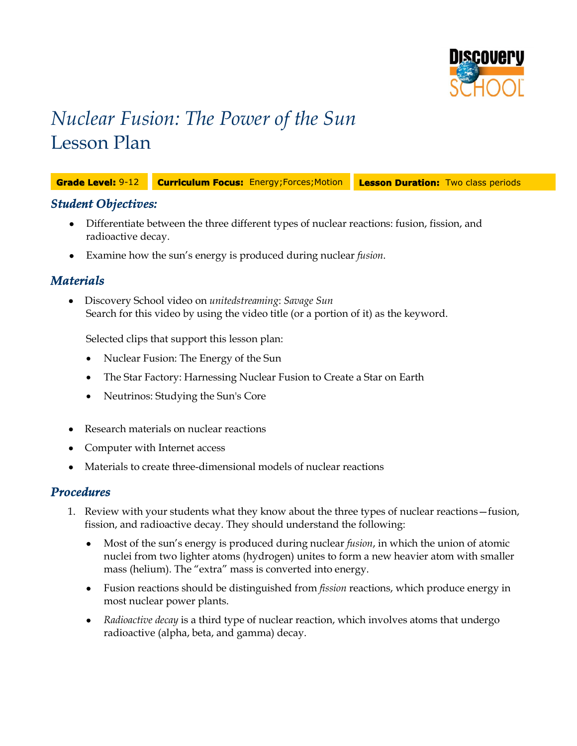

# *Nuclear Fusion: The Power of the Sun* Lesson Plan

**Grade Level:** 9-12 **Curriculum Focus:** Energy;Forces;Motion **Lesson Duration:** Two class periods

## *Student Objectives:*

- Differentiate between the three different types of nuclear reactions: fusion, fission, and radioactive decay.
- Examine how the sun's energy is produced during nuclear *fusion*.

## *Materials*

 Discovery School video on *unitedstreaming*: *Savage Sun* Search for this video by using the video title (or a portion of it) as the keyword.

Selected clips that support this lesson plan:

- Nuclear Fusion: The Energy of the Sun
- The Star Factory: Harnessing Nuclear Fusion to Create a Star on Earth
- Neutrinos: Studying the Sun's Core
- Research materials on nuclear reactions
- Computer with Internet access
- Materials to create three-dimensional models of nuclear reactions

### *Procedures*

- 1. Review with your students what they know about the three types of nuclear reactions—fusion, fission, and radioactive decay. They should understand the following:
	- Most of the sun's energy is produced during nuclear *fusion*, in which the union of atomic nuclei from two lighter atoms (hydrogen) unites to form a new heavier atom with smaller mass (helium). The "extra" mass is converted into energy.
	- Fusion reactions should be distinguished from *fission* reactions, which produce energy in most nuclear power plants.
	- *Radioactive decay* is a third type of nuclear reaction, which involves atoms that undergo radioactive (alpha, beta, and gamma) decay.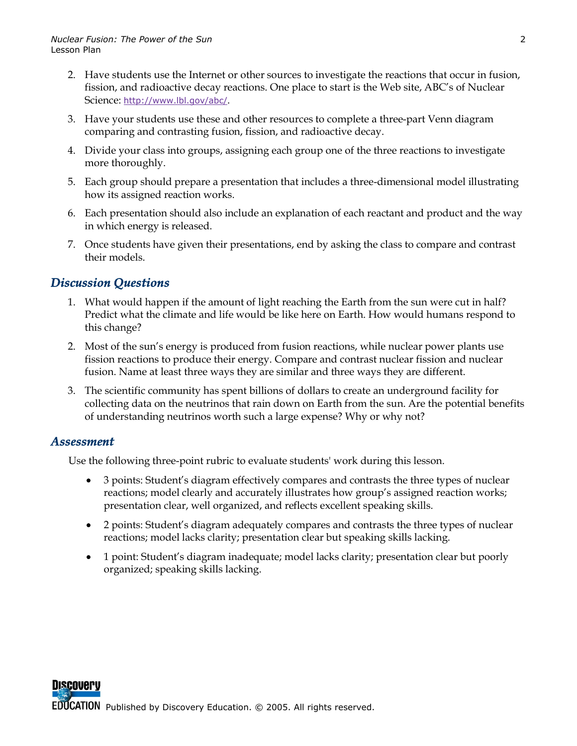- 2. Have students use the Internet or other sources to investigate the reactions that occur in fusion, fission, and radioactive decay reactions. One place to start is the Web site, ABC's of Nuclear Science: http://www.lbl.gov/abc/.
- 3. Have your students use these and other resources to complete a three-part Venn diagram comparing and contrasting fusion, fission, and radioactive decay.
- 4. Divide your class into groups, assigning each group one of the three reactions to investigate more thoroughly.
- 5. Each group should prepare a presentation that includes a three-dimensional model illustrating how its assigned reaction works.
- 6. Each presentation should also include an explanation of each reactant and product and the way in which energy is released.
- 7. Once students have given their presentations, end by asking the class to compare and contrast their models.

# *Discussion Questions*

- 1. What would happen if the amount of light reaching the Earth from the sun were cut in half? Predict what the climate and life would be like here on Earth. How would humans respond to this change?
- 2. Most of the sun's energy is produced from fusion reactions, while nuclear power plants use fission reactions to produce their energy. Compare and contrast nuclear fission and nuclear fusion. Name at least three ways they are similar and three ways they are different.
- 3. The scientific community has spent billions of dollars to create an underground facility for collecting data on the neutrinos that rain down on Earth from the sun. Are the potential benefits of understanding neutrinos worth such a large expense? Why or why not?

## *Assessment*

Use the following three-point rubric to evaluate students' work during this lesson.

- 3 points: Student's diagram effectively compares and contrasts the three types of nuclear reactions; model clearly and accurately illustrates how group's assigned reaction works; presentation clear, well organized, and reflects excellent speaking skills.
- 2 points: Student's diagram adequately compares and contrasts the three types of nuclear reactions; model lacks clarity; presentation clear but speaking skills lacking.
- 1 point: Student's diagram inadequate; model lacks clarity; presentation clear but poorly organized; speaking skills lacking.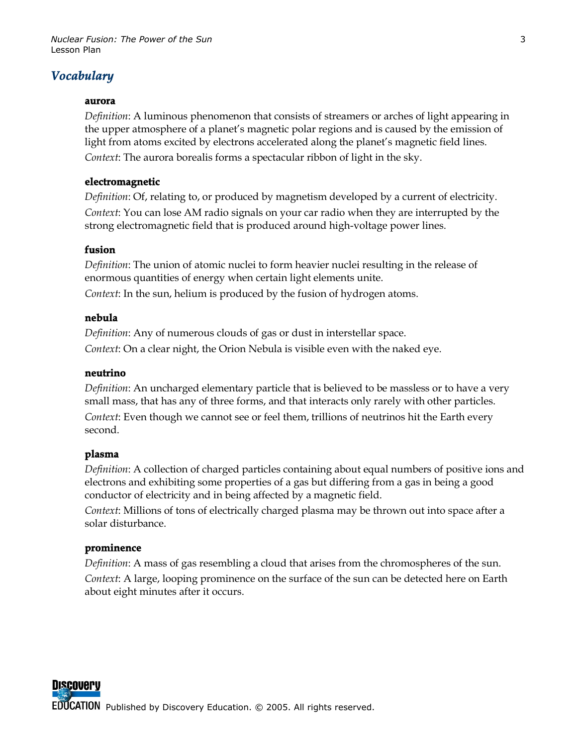## *Vocabulary*

#### **aurora**

*Definition*: A luminous phenomenon that consists of streamers or arches of light appearing in the upper atmosphere of a planet's magnetic polar regions and is caused by the emission of light from atoms excited by electrons accelerated along the planet's magnetic field lines. *Context*: The aurora borealis forms a spectacular ribbon of light in the sky.

#### **electromagnetic**

*Definition*: Of, relating to, or produced by magnetism developed by a current of electricity. *Context*: You can lose AM radio signals on your car radio when they are interrupted by the strong electromagnetic field that is produced around high-voltage power lines.

#### **fusion**

*Definition*: The union of atomic nuclei to form heavier nuclei resulting in the release of enormous quantities of energy when certain light elements unite. *Context*: In the sun, helium is produced by the fusion of hydrogen atoms.

#### **nebula**

*Definition*: Any of numerous clouds of gas or dust in interstellar space. *Context*: On a clear night, the Orion Nebula is visible even with the naked eye.

#### **neutrino**

*Definition*: An uncharged elementary particle that is believed to be massless or to have a very small mass, that has any of three forms, and that interacts only rarely with other particles. *Context*: Even though we cannot see or feel them, trillions of neutrinos hit the Earth every second.

#### **plasma**

*Definition*: A collection of charged particles containing about equal numbers of positive ions and electrons and exhibiting some properties of a gas but differing from a gas in being a good conductor of electricity and in being affected by a magnetic field.

*Context*: Millions of tons of electrically charged plasma may be thrown out into space after a solar disturbance.

#### **prominence**

*Definition*: A mass of gas resembling a cloud that arises from the chromospheres of the sun. *Context*: A large, looping prominence on the surface of the sun can be detected here on Earth about eight minutes after it occurs.